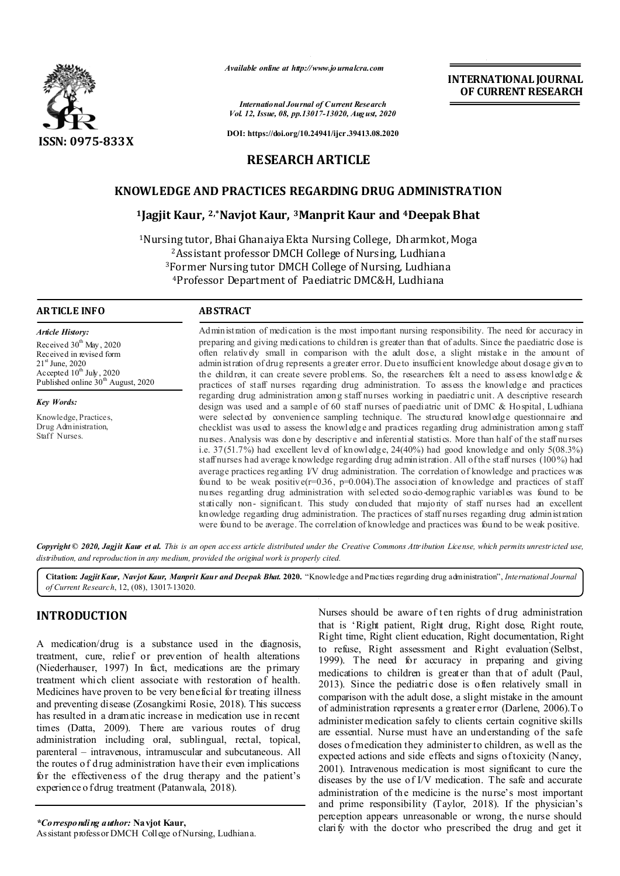

*Available online at http://www.journalcra.com*

*International Journal of Current Research Vol. 12, Issue, 08, pp.13017-13020, August, 2020*

**DOI: https://doi.org/10.24941/ijcr.39413.08.2020**

# **RESEARCH ARTICLE**

# **KNOWLEDGE AND PRACTICES REGARDING DRUG ADMINISTRATION**

## **1Jagjit Kaur, 2,\*Navjot Kaur, 3Manprit Kaur and 4Deepak Bhat**

1Nursing tutor, Bhai Ghanaiya Ekta Nursing College, Dharmkot, Moga 2Assistant professor DMCH College of Nursing, Ludhiana 3Former Nursing tutor DMCH College of Nursing, Ludhiana 4Professor Department of Paediatric DMC&H, Ludhiana

## **ARTICLE INFO ABSTRACT**

*Article History:* Received  $30<sup>th</sup>$  May, 2020 Received in revised form  $21^{\rm st}$  June, 2020 Accepted  $10^{th}$  July, 2020 Published online  $30<sup>th</sup>$  August, 2020

Knowledge, Practices, Drug Administration, Staff Nurses.

*Key Words:*

Administration of medication is the most important nursing responsibility. The need for accuracy in preparing and giving medications to children is greater than that of adults. Since the paediatric dose is often relatively small in comparison with the adult dose, a slight mistake in the amount of administration of drug represents a greater error. Due to insufficient knowledge about dosage given to the children, it can create severe problems. So, the researchers felt a need to assess knowledge  $\&$ practices of staff nurses regarding drug administration. To assess the knowledge and practices regarding drug administration among staff nurses working in paediatric unit. A descriptive research design was used and a sample of 60 staff nurses of paediatric unit of DMC & Hospital, Ludhiana were selected by convenience sampling technique. The structured knowledge questionnaire and checklist was used to assess the knowledge and practices regarding drug administration among staff nurses. Analysis was done by descriptive and inferential statistics. More than half of the staff nurses i.e. 37(51.7%) had excellent level of knowledge, 24(40%) had good knowledge and only 5(08.3%) staff nurses had average knowledge regarding drug administration. All of the staff nurses (100%) had average practices regarding I/V drug administration. The correlation of knowledge and practices was found to be weak positive( $r=0.36$ ,  $p=0.004$ ). The association of knowledge and practices of staff nurses regarding drug administration with selected socio-demographic variables was found to be statically non- significant. This study concluded that majority of staff nurses had an excellent knowledge regarding drug administration. The practices of staff nurses regarding drug administration were found to be average. The correlation of knowledge and practices was found to be weak positive.

Copyright © 2020, Jagjit Kaur et al. This is an open access article distributed under the Creative Commons Attribution License, which permits unrestricted use, *distribution, and reproduction in any medium, provided the original work is properly cited.*

**Citation:** *Jagjit Kaur, Navjot Kaur, Manprit Kaur and Deepak Bhat.* **2020.** "Knowledge and Practices regarding drug administration", *International Journal of Current Research*, 12, (08), 13017-13020.

# **INTRODUCTION**

A medication/drug is a substance used in the diagnosis, treatment, cure, relief or prevention of health alterations (Niederhauser, 1997) In fact, medications are the primary treatment which client associate with restoration of health. Medicines have proven to be very beneficial for treating illness and preventing disease (Zosangkimi Rosie, 2018). This success has resulted in a dramatic increase in medication use in recent times (Datta, 2009). There are various routes of drug administration including oral, sublingual, rectal, topical, parenteral – intravenous, intramuscular and subcutaneous. All the routes o f drug administration have their even implications for the effectiveness of the drug therapy and the patient's experience o f drug treatment (Patanwala, 2018).

*\*Corresponding author:* **Navjot Kaur,** Assistant professor DMCH College of Nursing, Ludhiana. Nurses should be aware of ten rights of drug administration that is 'Right patient, Right drug, Right dose, Right route, Right time, Right client education, Right documentation, Right to refuse, Right assessment and Right evaluation' (Selbst, 1999). The need for accuracy in preparing and giving medications to children is greater than that of adult (Paul, 2013). Since the pediatric dose is often relatively small in comparison with the adult dose, a slight mistake in the amount of administration represents a greater error (Darlene, 2006).To administer medication safely to clients certain cognitive skills are essential. Nurse must have an understanding of the safe doses o fmedication they administer to children, as well as the expected actions and side effects and signs of toxicity (Nancy, 2001). Intravenous medication is most significant to cure the diseases by the use of I/V medication. The safe and accurate administration of the medicine is the nurse's most important and prime responsibility (Taylor, 2018). If the physician's perception appears unreasonable or wrong, the nurse should clarify with the doctor who prescribed the drug and get it

**INTERNATIONAL JOURNAL OF CURRENT RESEARCH**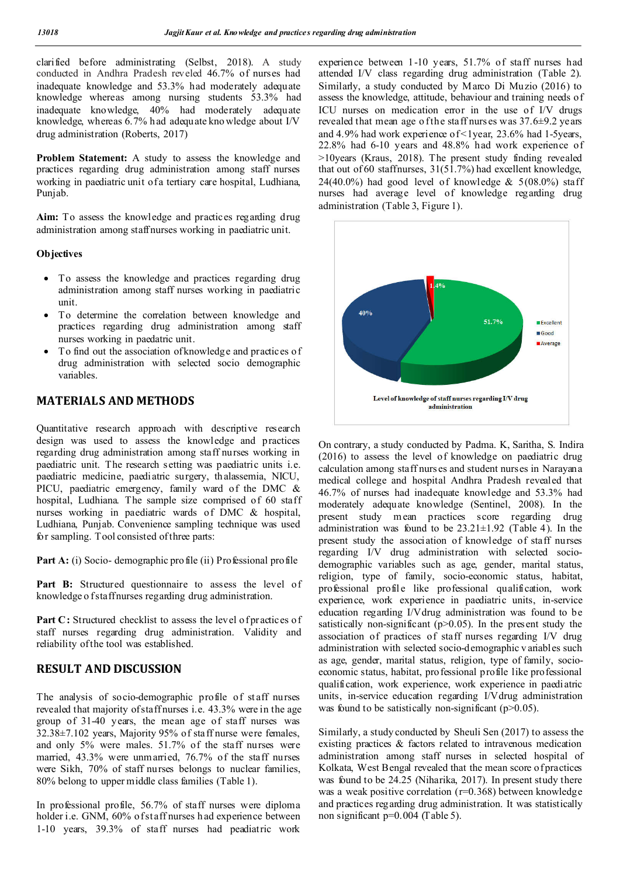clarified before administrating (Selbst, 2018). A study conducted in Andhra Pradesh reveled 46.7% of nurses had inadequate knowledge and 53.3% had moderately adequate knowledge whereas among nursing students 53.3% had inadequate knowledge, 40% had moderately adequate knowledge, whereas 6.7% had adequate kno wledge about I/V drug administration (Roberts, 2017)

**Problem Statement:** A study to assess the knowledge and practices regarding drug administration among staff nurses working in paediatric unit of a tertiary care hospital, Ludhiana, Punjab.

**Aim:** To assess the knowledge and practices regarding drug administration among staffnurses working in paediatric unit.

## **Objectives**

- To assess the knowledge and practices regarding drug administration among staff nurses working in paediatric unit.
- To determine the correlation between knowledge and practices regarding drug administration among staff nurses working in paedatric unit.
- To find out the association of knowledge and practices of drug administration with selected socio demographic variables.

## **MATERIALS AND METHODS**

Quantitative research approach with descriptive research design was used to assess the knowledge and practices regarding drug administration among staff nurses working in paediatric unit. The research setting was paediatric units i.e. paediatric medicine, paediatric surgery, thalassemia, NICU, PICU, paediatric emergency, family ward of the DMC & hospital, Ludhiana. The sample size comprised of 60 staff nurses working in paediatric wards of DMC & hospital, Ludhiana, Punjab. Convenience sampling technique was used for sampling. Tool consisted of three parts:

**Part A:** (i) Socio- demographic profile (ii) Professional profile

Part B: Structured questionnaire to assess the level of knowledge o f staff nurses regarding drug administration.

Part C: Structured checklist to assess the level of practices of staff nurses regarding drug administration. Validity and reliability of the tool was established.

## **RESULT AND DISCUSSION**

The analysis of socio-demographic profile of staff nurses revealed that majority of staff nurses i.e. 43.3% were in the age group of 31-40 years, the mean age of staff nurses was 32.38±7.102 years, Majority 95% of staff nurse were females, and only 5% were males. 51.7% of the staff nurses were married, 43.3% were unmarried, 76.7% of the staff nurses were Sikh, 70% of staff nurses belongs to nuclear families, 80% belong to upper middle class families (Table 1).

In professional profile, 56.7% of staff nurses were diploma holder i.e. GNM, 60% of staff nurses h ad experience between 1-10 years, 39.3% of staff nurses had peadiatric work

experience between 1-10 years, 51.7% of staff nurses had attended I/V class regarding drug administration (Table 2). Similarly, a study conducted by Marco Di Muzio (2016) to assess the knowledge, attitude, behaviour and training needs of ICU nurses on medication error in the use of I/V drugs revealed that mean age of the staff nurs es was 37.6±9.2 years and 4.9% had work experience of <1year, 23.6% had 1-5years, 22.8% had 6-10 years and 48.8% had work experience of >10years (Kraus, 2018). The present study finding revealed that out of 60 staffnurses,  $31(51.7%)$  had excellent knowledge, 24(40.0%) had good level of knowledge  $& 5(08.0\%)$  staff nurses had average level of knowledge regarding drug administration (Table 3, Figure 1).



On contrary, a study conducted by Padma. K, Saritha, S. Indira (2016) to assess the level of knowledge on paediatric drug calculation among staff nurs es and student nurses in Narayana medical college and hospital Andhra Pradesh revealed that 46.7% of nurses had inadequate knowledge and 53.3% had moderately adequate knowledge (Sentinel, 2008). In the present study mean practices score regarding drug administration was found to be  $23.21 \pm 1.92$  (Table 4). In the present study the association of knowledge of staff nurses regarding I/V drug administration with selected sociodemographic variables such as age, gender, marital status, religion, type of family, socio-economic status, habitat, professional profile like professional qualification, work experience, work experience in paediatric units, in-service education regarding I/Vdrug administration was found to be satistically non-significant ( $p > 0.05$ ). In the present study the association of practices of staff nurses regarding I/V drug administration with selected socio-demographic v ariables such as age, gender, marital status, religion, type of family, socioeconomic status, habitat, professional profile like professional qualification, work experience, work experience in paediatric units, in-service education regarding I/Vdrug administration was found to be satistically non-significant ( $p>0.05$ ).

Similarly, a study conducted by Sheuli Sen (2017) to assess the existing practices & factors related to intravenous medication administration among staff nurses in selected hospital of Kolkata, West Bengal revealed that the mean score of practices was found to be 24.25 (Niharika, 2017). In present study there was a weak positive correlation (r=0.368) between knowledge and practices regarding drug administration. It was statistically non significant p=0.004 (Table 5).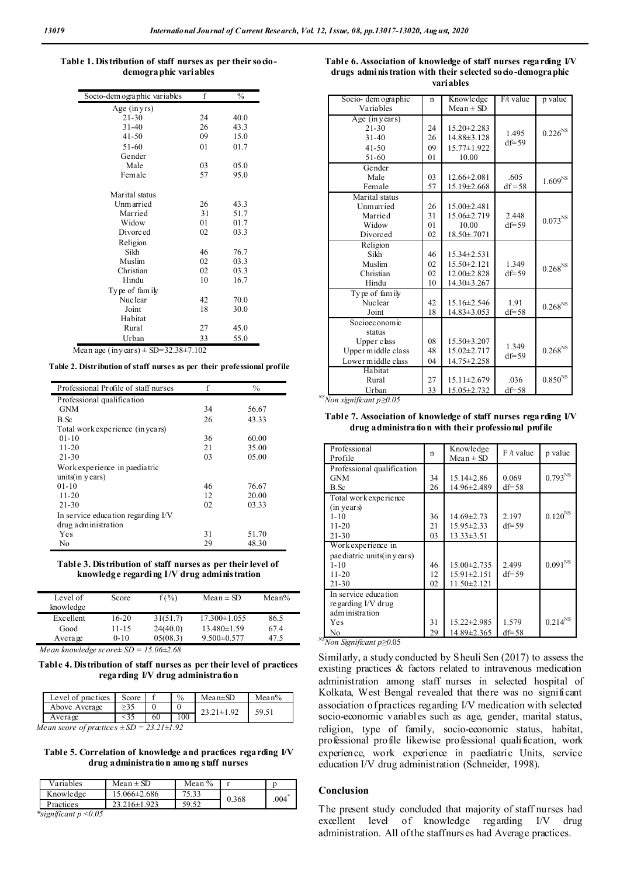#### **Table 1. Distribution of staff nurses as per their sociodemographic variables**

| Socio-dem ographic variables | f  | $\frac{0}{0}$ |
|------------------------------|----|---------------|
| Age $(inyrs)$                |    |               |
| $21 - 30$                    | 24 | 40.0          |
| $31 - 40$                    | 26 | 43.3          |
| $41 - 50$                    | 09 | 15.0          |
| 51-60                        | 01 | 01.7          |
| Gender                       |    |               |
| Male                         | 03 | 05.0          |
| Female                       | 57 | 95.0          |
|                              |    |               |
| Marital status               |    |               |
| Unm arried                   | 26 | 43.3          |
| Married                      | 31 | 51.7          |
| Widow                        | 01 | 01.7          |
| Divorced                     | 02 | 03.3          |
| Religion                     |    |               |
| Sikh                         | 46 | 76.7          |
| Muslim                       | 02 | 03.3          |
| Christian                    | 02 | 03.3          |
| Hindu                        | 10 | 16.7          |
| Type of family               |    |               |
| <b>Nuclear</b>               | 42 | 70.0          |
| Joint                        | 18 | 30.0          |
| Habitat                      |    |               |
| Rural                        | 27 | 45.0          |
| Urban                        | 33 | 55.0          |

Mean age (in years)  $\pm$  SD=32.38 $\pm$ 7.102

**Table 2. Distribution of staff nurses as per their professional profile**

| Professional Profile of staff nurses | f  | $\%$  |
|--------------------------------------|----|-------|
| Professional qualification           |    |       |
| <b>GNM</b>                           | 34 | 56.67 |
| B.Sc                                 | 26 | 43.33 |
| Total work experience (in years)     |    |       |
| $01 - 10$                            | 36 | 60.00 |
| $11 - 20$                            | 21 | 35.00 |
| $21 - 30$                            | 03 | 05.00 |
| Work experience in paediatric        |    |       |
| units $(in$ y ears)                  |    |       |
| $01 - 10$                            | 46 | 76.67 |
| $11 - 20$                            | 12 | 20.00 |
| $21 - 30$                            | 02 | 03.33 |
| In service education regarding I/V   |    |       |
| drug administration                  |    |       |
| Yes                                  | 31 | 51.70 |
| No                                   | 29 | 48.30 |

**Table 3. Distribution of staff nurses as per their level of knowledge regarding I/V drug administration**

| Level of<br>knowledge | Score    | $f(\% )$ | Mean $\pm$ SD      | Mean $\%$ |
|-----------------------|----------|----------|--------------------|-----------|
| Excellent             | $16-20$  | 31(51.7) | $17.300 \pm 1.055$ | 86.5      |
| Good                  | 11-15    | 24(40.0) | $13.480 \pm 1.59$  | 67.4      |
| Average               | $0 - 10$ | 05(08.3) | $9.500 \pm 0.577$  | 47.5      |

*Mean knowledge score± SD = 15.06±2.68* 

**Table 4. Distribution of staff nurses as per their level of practices regarding I/V drug administration**

| Level of practices                                   | Score |    | $\%$ | $Mean \pm SD$ | $Mean\%$ |
|------------------------------------------------------|-------|----|------|---------------|----------|
| Above Average                                        |       |    |      | $21 \pm 1.92$ |          |
| Avera œ                                              |       | 60 | 10C  |               |          |
| $M_{\rm{c}}$ and a series of an action<br>- 3331.103 |       |    |      |               |          |

*Mean score of practices ± SD = 23.21±1.92*

**Table 5. Correlation of knowledge and practices regarding I/V drug administration among staff nurses**

| Variables                                  | Mean $\pm$ SD    | Mean $\%$ |       |      |
|--------------------------------------------|------------------|-----------|-------|------|
| Knowledge                                  | 15.066±2.686     | 75.33     | 0.368 | .004 |
| Practices                                  | $23.216\pm1.923$ | 50 52     |       |      |
| $*$ aigui $\mathcal{L}$ agut a $\geq 0.05$ |                  |           |       |      |

*\*significant p <0.05* 

#### **Table 6. Association of knowledge of staff nurses regarding I/V drugs administration with their selected socio-demographic variables**

| Socio- dem ographic                   | n  | Knowledge         | F/t value | p value               |
|---------------------------------------|----|-------------------|-----------|-----------------------|
| Variables                             |    | $Mean \pm SD$     |           |                       |
| Age (in years)                        |    |                   |           |                       |
| $21 - 30$                             | 24 | $15.20 \pm 2.283$ | 1.495     | $0.226^{\mathrm{NS}}$ |
| $31 - 40$                             | 26 | 14.88±3.128       | $df = 59$ |                       |
| $41 - 50$                             | 09 | 15.77±1.922       |           |                       |
| $51-60$                               | 01 | 10.00             |           |                       |
| Gender                                |    |                   |           |                       |
| Male                                  | 03 | $12.66 \pm 2.081$ | .605      | 1.609 <sup>NS</sup>   |
| Female                                | 57 | 15.19±2.668       | $df = 58$ |                       |
| Marital status                        |    |                   |           |                       |
| Unmarried                             | 26 | $15.00 \pm 2.481$ |           |                       |
| Married                               | 31 | 15.06±2.719       | 2.448     | $0.073^{\rm NS}$      |
| Widow                                 | 01 | 10.00             | $df = 59$ |                       |
| Divorced                              | 02 | 18.50±.7071       |           |                       |
| Religion                              |    |                   |           |                       |
| Sikh                                  | 46 | $15.34 \pm 2.531$ |           |                       |
| Muslim                                | 02 | $15.50 \pm 2.121$ | 1.349     | $0.268^{\mathrm{NS}}$ |
| Christian                             | 02 | $12.00 \pm 2.828$ | $df = 59$ |                       |
| Hindu                                 | 10 | 14.30±3.267       |           |                       |
| Type of family                        |    |                   |           |                       |
| Nuclear                               | 42 | $15.16\pm2.546$   | 1.91      | $0.268^{\mathrm{NS}}$ |
| Joint                                 | 18 | $14.83 \pm 3.053$ | $df = 58$ |                       |
| Socioeconomic                         |    |                   |           |                       |
| status                                |    |                   |           |                       |
| Upper class                           | 08 | $15.50 \pm 3.207$ | 1.349     |                       |
| Upper middle class                    | 48 | $15.02 \pm 2.717$ | $df = 59$ | $0.268^{\rm NS}$      |
| Lower middle class                    | 04 | 14.75±2.258       |           |                       |
| Habitat                               |    |                   |           |                       |
| Rural                                 | 27 | $15.11 \pm 2.679$ | .036      | $0.850^{\rm NS}$      |
| Urban                                 | 33 | 15.05±2.732       | $df = 58$ |                       |
| $^{NS}$ Non significant p $\geq 0.05$ |    |                   |           |                       |

#### **Table 7. Association of knowledge of staff nurses regarding I/V drug administration with their professional profile**

| Professional<br>Profile     | n  | Knowledge<br>$Mean \pm SD$ | $F / t$ value | p value          |
|-----------------------------|----|----------------------------|---------------|------------------|
| Professional qualification  |    |                            |               |                  |
| <b>GNM</b>                  | 34 | $15.14 \pm 2.86$           | 0.069         | $0.793^{\rm NS}$ |
| B.Sc                        | 26 | 14.96±2.489                | $df = 58$     |                  |
| Total work experience       |    |                            |               |                  |
| (in years)                  |    |                            |               |                  |
| $1 - 10$                    | 36 | $14.69 \pm 2.73$           | 2.197         | $0.120^{NS}$     |
| $11 - 20$                   | 21 | $15.95 \pm 2.33$           | $df = 59$     |                  |
| $21 - 30$                   | 03 | $13.33 \pm 3.51$           |               |                  |
| Work experience in          |    |                            |               |                  |
| pae diatric units(in years) |    |                            |               |                  |
| $1 - 10$                    | 46 | $15.00 \pm 2.735$          | 2.499         | $0.091^{\rm NS}$ |
| $11 - 20$                   | 12 | $15.91 \pm 2.151$          | $df = 59$     |                  |
| $21 - 30$                   | 02 | $11.50 \pm 2.121$          |               |                  |
| In service education        |    |                            |               |                  |
| regarding I/V drug          |    |                            |               |                  |
| adm inistration             |    |                            |               |                  |
| Yes                         | 31 | 15.22±2.985                | 1.579         | $0.214^{NS}$     |
| No                          | 29 | 14.89±2.365                | $df = 58$     |                  |

No *NSNon Significant p≥0.*05

Similarly, a study conducted by Sheuli Sen (2017) to assess the existing practices & factors related to intravenous medication administration among staff nurses in selected hospital of Kolkata, West Bengal revealed that there was no significant association of practices regarding I/V medication with selected socio-economic variables such as age, gender, marital status, religion, type of family, socio-economic status, habitat, professional profile likewise professional qualification, work experience, work experience in paediatric Units, service education I/V drug administration (Schneider, 1998).

#### **Conclusion**

The present study concluded that majority of staff nurses had excellent level of knowledge regarding I/V drug administration. All of the staffnurs es had Average practices.